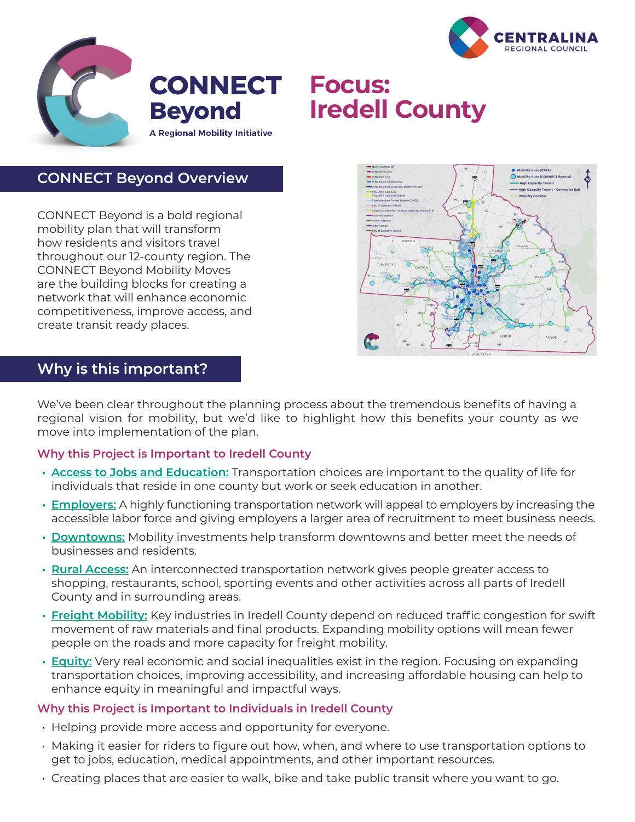



# **CONNECT Focus: Iredell County**

# **CONNECT Beyond Overview**

CONNECT Beyond is a bold regional mobility plan that will transform how residents and visitors travel throughout our 12-county region. The CONNECT Beyond Mobility Moves are the building blocks for creating a network that will enhance economic competitiveness, improve access, and create transit ready places.



## **Why is this important?**

We've been clear throughout the planning process about the tremendous benefits of having a regional vision for mobility, but we'd like to highlight how this benefits your county as we move into implementation of the plan.

## **Why this Project is Important to Iredell County**

- **• Access to Jobs and Education:** Transportation choices are important to the quality of life for individuals that reside in one county but work or seek education in another.
- **• Employers:** A highly functioning transportation network will appeal to employers by increasing the accessible labor force and giving employers a larger area of recruitment to meet business needs.
- **• Downtowns:** Mobility investments help transform downtowns and better meet the needs of businesses and residents.
- **• Rural Access:** An interconnected transportation network gives people greater access to shopping, restaurants, school, sporting events and other activities across all parts of Iredell County and in surrounding areas.
- **• Freight Mobility:** Key industries in Iredell County depend on reduced traffic congestion for swift movement of raw materials and final products. Expanding mobility options will mean fewer people on the roads and more capacity for freight mobility.
- **• Equity:** Very real economic and social inequalities exist in the region. Focusing on expanding transportation choices, improving accessibility, and increasing affordable housing can help to enhance equity in meaningful and impactful ways.

#### **Why this Project is Important to Individuals in Iredell County**

- Helping provide more access and opportunity for everyone.
- Making it easier for riders to figure out how, when, and where to use transportation options to get to jobs, education, medical appointments, and other important resources.
- Creating places that are easier to walk, bike and take public transit where you want to go.